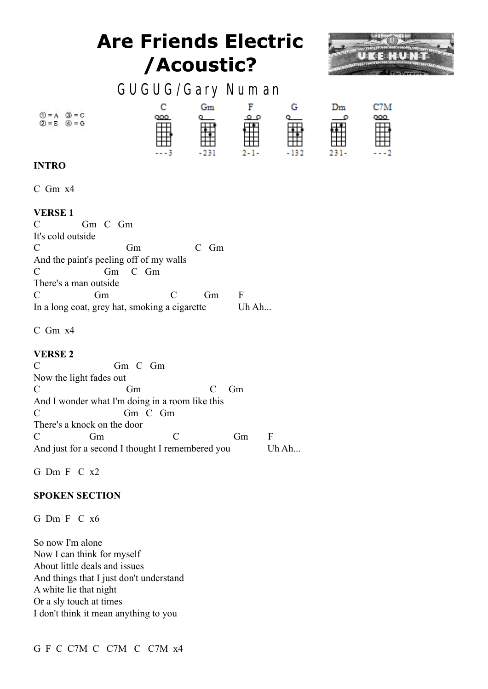## GUGUG/ Gary Num an

C Gm x4

C Gm C Gm It's cold outside C Gm C Gm And thepaint's peeling off of my walls C Gm C Gm There's aman outside C Gm C Gm F In a long coat, grey hat, smoking a cigarette Uh Ah...

C Gm x4

C Gm C Gm Now the light fades out C Gm C Gm And I wonder what I'm doing in aroom likethis C Gm C Gm C Gm There's a knock on the door C Gm C Gm F And just for a second I thought I remembered you Uh Ah...

G Dm F C x2

G Dm F C x6

So now I'm alone Now I can think for myself About little deals and issues And things that I just don't understand A whiteliethat night Or asly touch at times I don't think it mean anything to you

G F C C7M C C7M C C7M x4